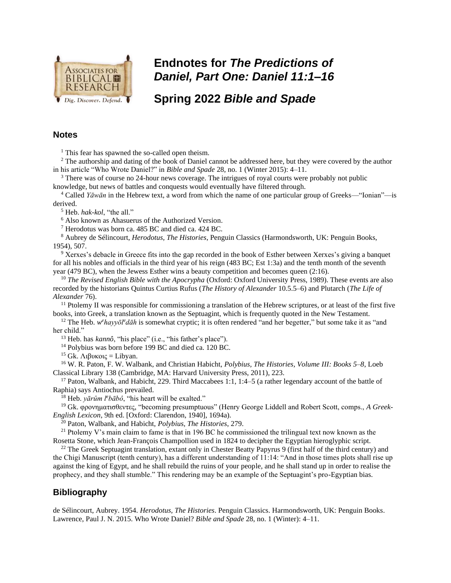

## **Endnotes for** *The Predictions of Daniel, Part One: Daniel 11:1–16*

**Spring 2022** *Bible and Spade* 

## **Notes**

 $<sup>1</sup>$  This fear has spawned the so-called open theism.</sup>

<sup>2</sup> The authorship and dating of the book of Daniel cannot be addressed here, but they were covered by the author in his article "Who Wrote Daniel?" in *Bible and Spade* 28, no. 1 (Winter 2015): 4–11.

<sup>3</sup> There was of course no 24-hour news coverage. The intrigues of royal courts were probably not public knowledge, but news of battles and conquests would eventually have filtered through.

<sup>4</sup> Called *Yāwān* in the Hebrew text, a word from which the name of one particular group of Greeks—"Ionian"—is derived.

<sup>5</sup> Heb. *hak-kol*, "the all."

<sup>6</sup> Also known as Ahasuerus of the Authorized Version.

<sup>7</sup> Herodotus was born ca. 485 BC and died ca. 424 BC.

<sup>8</sup> Aubrey de Sélincourt, *Herodotus, The Histories*, Penguin Classics (Harmondsworth, UK: Penguin Books, 1954), 507.

<sup>9</sup> Xerxes's debacle in Greece fits into the gap recorded in the book of Esther between Xerxes's giving a banquet for all his nobles and officials in the third year of his reign (483 BC; Est 1:3a) and the tenth month of the seventh year (479 BC), when the Jewess Esther wins a beauty competition and becomes queen (2:16).

<sup>10</sup> *The Revised English Bible with the Apocrypha* (Oxford: Oxford University Press, 1989). These events are also recorded by the historians Quintus Curtius Rufus (*The History of Alexander* 10.5.5–6) and Plutarch (*The Life of Alexander* 76).

 $11$  Ptolemy II was responsible for commissioning a translation of the Hebrew scriptures, or at least of the first five books, into Greek, a translation known as the Septuagint, which is frequently quoted in the New Testament.

<sup>12</sup> The Heb. *w*<sup>*e*</sup>hayyol<sup>e</sup>*d*ah is somewhat cryptic; it is often rendered "and her begetter," but some take it as "and her child."

<sup>13</sup> Heb. has *kannô*, "his place" (i.e., "his father's place").

<sup>14</sup> Polybius was born before 199 BC and died ca. 120 BC.

<sup>15</sup> Gk. Λιβυκοις = Libyan.

<sup>16</sup> W. R. Paton, F. W. Walbank, and Christian Habicht, *Polybius, The Histories, Volume III: Books 5–8*, Loeb Classical Library 138 (Cambridge, MA: Harvard University Press, 2011), 223.

<sup>17</sup> Paton, Walbank, and Habicht, 229. Third Maccabees 1:1, 1:4–5 (a rather legendary account of the battle of Raphia) says Antiochus prevailed.

<sup>18</sup> Heb. *yārûm l<sup>e</sup>bābô*, "his heart will be exalted."

<sup>19</sup> Gk. φρονηματισθεντες, "becoming presumptuous" (Henry George Liddell and Robert Scott, comps., *A Greek-English Lexicon*, 9th ed. [Oxford: Clarendon, 1940], 1694a).

<sup>20</sup> Paton, Walbank, and Habicht, *Polybius, The Histories*, 279.

<sup>21</sup> Ptolemy V's main claim to fame is that in 196 BC he commissioned the trilingual text now known as the Rosetta Stone, which Jean-François Champollion used in 1824 to decipher the Egyptian hieroglyphic script.

<sup>22</sup> The Greek Septuagint translation, extant only in Chester Beatty Papyrus 9 (first half of the third century) and the Chigi Manuscript (tenth century), has a different understanding of 11:14: "And in those times plots shall rise up against the king of Egypt, and he shall rebuild the ruins of your people, and he shall stand up in order to realise the prophecy, and they shall stumble." This rendering may be an example of the Septuagint's pro-Egyptian bias.

## **Bibliography**

de Sélincourt, Aubrey. 1954. *Herodotus, The Histories*. Penguin Classics. Harmondsworth, UK: Penguin Books. Lawrence, Paul J. N. 2015. Who Wrote Daniel? *Bible and Spade* 28, no. 1 (Winter): 4–11.